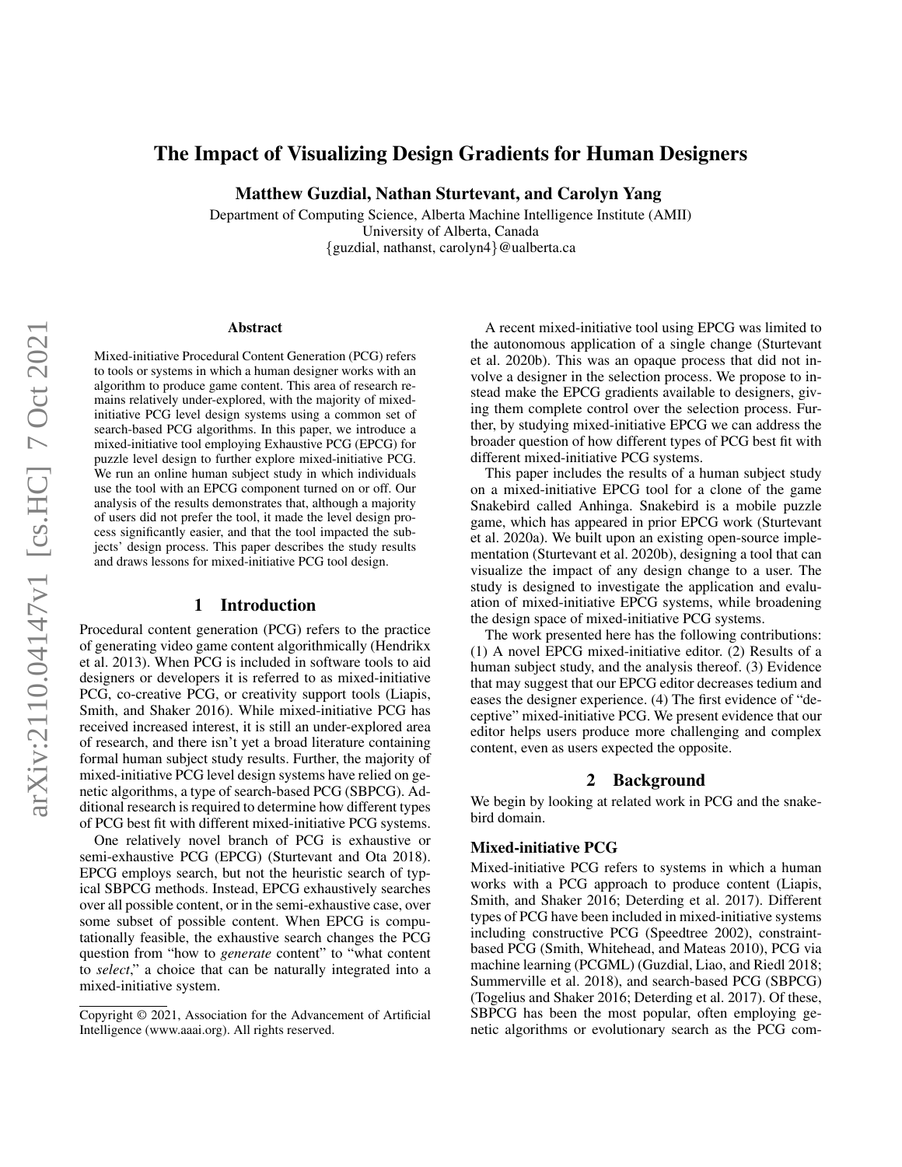# The Impact of Visualizing Design Gradients for Human Designers

Matthew Guzdial, Nathan Sturtevant, and Carolyn Yang

Department of Computing Science, Alberta Machine Intelligence Institute (AMII) University of Alberta, Canada {guzdial, nathanst, carolyn4}@ualberta.ca

#### Abstract

Mixed-initiative Procedural Content Generation (PCG) refers to tools or systems in which a human designer works with an algorithm to produce game content. This area of research remains relatively under-explored, with the majority of mixedinitiative PCG level design systems using a common set of search-based PCG algorithms. In this paper, we introduce a mixed-initiative tool employing Exhaustive PCG (EPCG) for puzzle level design to further explore mixed-initiative PCG. We run an online human subject study in which individuals use the tool with an EPCG component turned on or off. Our analysis of the results demonstrates that, although a majority of users did not prefer the tool, it made the level design process significantly easier, and that the tool impacted the subjects' design process. This paper describes the study results and draws lessons for mixed-initiative PCG tool design.

### 1 Introduction

Procedural content generation (PCG) refers to the practice of generating video game content algorithmically (Hendrikx et al. 2013). When PCG is included in software tools to aid designers or developers it is referred to as mixed-initiative PCG, co-creative PCG, or creativity support tools (Liapis, Smith, and Shaker 2016). While mixed-initiative PCG has received increased interest, it is still an under-explored area of research, and there isn't yet a broad literature containing formal human subject study results. Further, the majority of mixed-initiative PCG level design systems have relied on genetic algorithms, a type of search-based PCG (SBPCG). Additional research is required to determine how different types of PCG best fit with different mixed-initiative PCG systems.

One relatively novel branch of PCG is exhaustive or semi-exhaustive PCG (EPCG) (Sturtevant and Ota 2018). EPCG employs search, but not the heuristic search of typical SBPCG methods. Instead, EPCG exhaustively searches over all possible content, or in the semi-exhaustive case, over some subset of possible content. When EPCG is computationally feasible, the exhaustive search changes the PCG question from "how to *generate* content" to "what content to *select*," a choice that can be naturally integrated into a mixed-initiative system.

A recent mixed-initiative tool using EPCG was limited to the autonomous application of a single change (Sturtevant et al. 2020b). This was an opaque process that did not involve a designer in the selection process. We propose to instead make the EPCG gradients available to designers, giving them complete control over the selection process. Further, by studying mixed-initiative EPCG we can address the broader question of how different types of PCG best fit with different mixed-initiative PCG systems.

This paper includes the results of a human subject study on a mixed-initiative EPCG tool for a clone of the game Snakebird called Anhinga. Snakebird is a mobile puzzle game, which has appeared in prior EPCG work (Sturtevant et al. 2020a). We built upon an existing open-source implementation (Sturtevant et al. 2020b), designing a tool that can visualize the impact of any design change to a user. The study is designed to investigate the application and evaluation of mixed-initiative EPCG systems, while broadening the design space of mixed-initiative PCG systems.

The work presented here has the following contributions: (1) A novel EPCG mixed-initiative editor. (2) Results of a human subject study, and the analysis thereof. (3) Evidence that may suggest that our EPCG editor decreases tedium and eases the designer experience. (4) The first evidence of "deceptive" mixed-initiative PCG. We present evidence that our editor helps users produce more challenging and complex content, even as users expected the opposite.

#### 2 Background

We begin by looking at related work in PCG and the snakebird domain.

#### Mixed-initiative PCG

Mixed-initiative PCG refers to systems in which a human works with a PCG approach to produce content (Liapis, Smith, and Shaker 2016; Deterding et al. 2017). Different types of PCG have been included in mixed-initiative systems including constructive PCG (Speedtree 2002), constraintbased PCG (Smith, Whitehead, and Mateas 2010), PCG via machine learning (PCGML) (Guzdial, Liao, and Riedl 2018; Summerville et al. 2018), and search-based PCG (SBPCG) (Togelius and Shaker 2016; Deterding et al. 2017). Of these, SBPCG has been the most popular, often employing genetic algorithms or evolutionary search as the PCG com-

Copyright © 2021, Association for the Advancement of Artificial Intelligence (www.aaai.org). All rights reserved.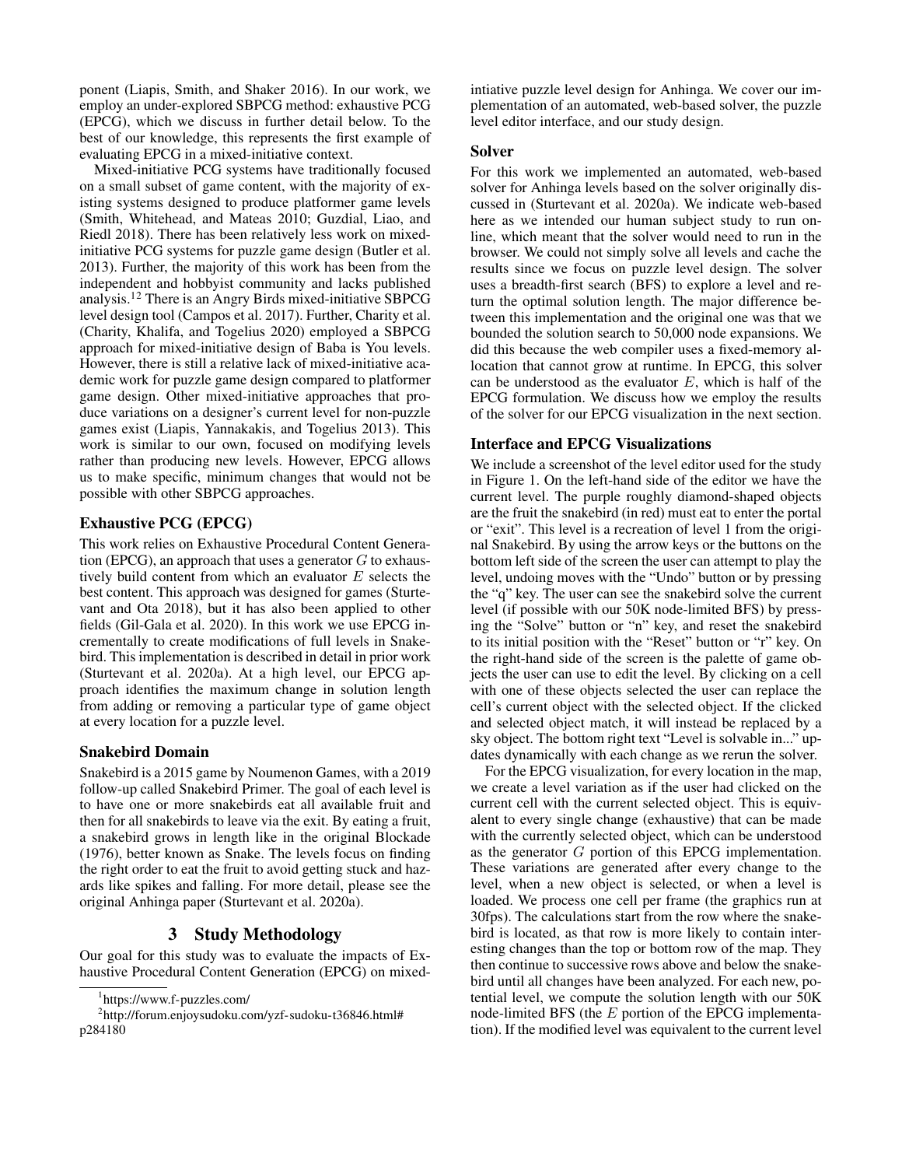ponent (Liapis, Smith, and Shaker 2016). In our work, we employ an under-explored SBPCG method: exhaustive PCG (EPCG), which we discuss in further detail below. To the best of our knowledge, this represents the first example of evaluating EPCG in a mixed-initiative context.

Mixed-initiative PCG systems have traditionally focused on a small subset of game content, with the majority of existing systems designed to produce platformer game levels (Smith, Whitehead, and Mateas 2010; Guzdial, Liao, and Riedl 2018). There has been relatively less work on mixedinitiative PCG systems for puzzle game design (Butler et al. 2013). Further, the majority of this work has been from the independent and hobbyist community and lacks published analysis.<sup>12</sup> There is an Angry Birds mixed-initiative SBPCG level design tool (Campos et al. 2017). Further, Charity et al. (Charity, Khalifa, and Togelius 2020) employed a SBPCG approach for mixed-initiative design of Baba is You levels. However, there is still a relative lack of mixed-initiative academic work for puzzle game design compared to platformer game design. Other mixed-initiative approaches that produce variations on a designer's current level for non-puzzle games exist (Liapis, Yannakakis, and Togelius 2013). This work is similar to our own, focused on modifying levels rather than producing new levels. However, EPCG allows us to make specific, minimum changes that would not be possible with other SBPCG approaches.

## Exhaustive PCG (EPCG)

This work relies on Exhaustive Procedural Content Generation (EPCG), an approach that uses a generator  $G$  to exhaustively build content from which an evaluator  $E$  selects the best content. This approach was designed for games (Sturtevant and Ota 2018), but it has also been applied to other fields (Gil-Gala et al. 2020). In this work we use EPCG incrementally to create modifications of full levels in Snakebird. This implementation is described in detail in prior work (Sturtevant et al. 2020a). At a high level, our EPCG approach identifies the maximum change in solution length from adding or removing a particular type of game object at every location for a puzzle level.

## Snakebird Domain

Snakebird is a 2015 game by Noumenon Games, with a 2019 follow-up called Snakebird Primer. The goal of each level is to have one or more snakebirds eat all available fruit and then for all snakebirds to leave via the exit. By eating a fruit, a snakebird grows in length like in the original Blockade (1976), better known as Snake. The levels focus on finding the right order to eat the fruit to avoid getting stuck and hazards like spikes and falling. For more detail, please see the original Anhinga paper (Sturtevant et al. 2020a).

## 3 Study Methodology

Our goal for this study was to evaluate the impacts of Exhaustive Procedural Content Generation (EPCG) on mixedintiative puzzle level design for Anhinga. We cover our implementation of an automated, web-based solver, the puzzle level editor interface, and our study design.

## Solver

For this work we implemented an automated, web-based solver for Anhinga levels based on the solver originally discussed in (Sturtevant et al. 2020a). We indicate web-based here as we intended our human subject study to run online, which meant that the solver would need to run in the browser. We could not simply solve all levels and cache the results since we focus on puzzle level design. The solver uses a breadth-first search (BFS) to explore a level and return the optimal solution length. The major difference between this implementation and the original one was that we bounded the solution search to 50,000 node expansions. We did this because the web compiler uses a fixed-memory allocation that cannot grow at runtime. In EPCG, this solver can be understood as the evaluator  $E$ , which is half of the EPCG formulation. We discuss how we employ the results of the solver for our EPCG visualization in the next section.

## Interface and EPCG Visualizations

We include a screenshot of the level editor used for the study in Figure 1. On the left-hand side of the editor we have the current level. The purple roughly diamond-shaped objects are the fruit the snakebird (in red) must eat to enter the portal or "exit". This level is a recreation of level 1 from the original Snakebird. By using the arrow keys or the buttons on the bottom left side of the screen the user can attempt to play the level, undoing moves with the "Undo" button or by pressing the "q" key. The user can see the snakebird solve the current level (if possible with our 50K node-limited BFS) by pressing the "Solve" button or "n" key, and reset the snakebird to its initial position with the "Reset" button or "r" key. On the right-hand side of the screen is the palette of game objects the user can use to edit the level. By clicking on a cell with one of these objects selected the user can replace the cell's current object with the selected object. If the clicked and selected object match, it will instead be replaced by a sky object. The bottom right text "Level is solvable in..." updates dynamically with each change as we rerun the solver.

For the EPCG visualization, for every location in the map, we create a level variation as if the user had clicked on the current cell with the current selected object. This is equivalent to every single change (exhaustive) that can be made with the currently selected object, which can be understood as the generator  $G$  portion of this EPCG implementation. These variations are generated after every change to the level, when a new object is selected, or when a level is loaded. We process one cell per frame (the graphics run at 30fps). The calculations start from the row where the snakebird is located, as that row is more likely to contain interesting changes than the top or bottom row of the map. They then continue to successive rows above and below the snakebird until all changes have been analyzed. For each new, potential level, we compute the solution length with our 50K node-limited BFS (the  $E$  portion of the EPCG implementation). If the modified level was equivalent to the current level

<sup>1</sup> https://www.f-puzzles.com/

<sup>2</sup> http://forum.enjoysudoku.com/yzf-sudoku-t36846.html# p284180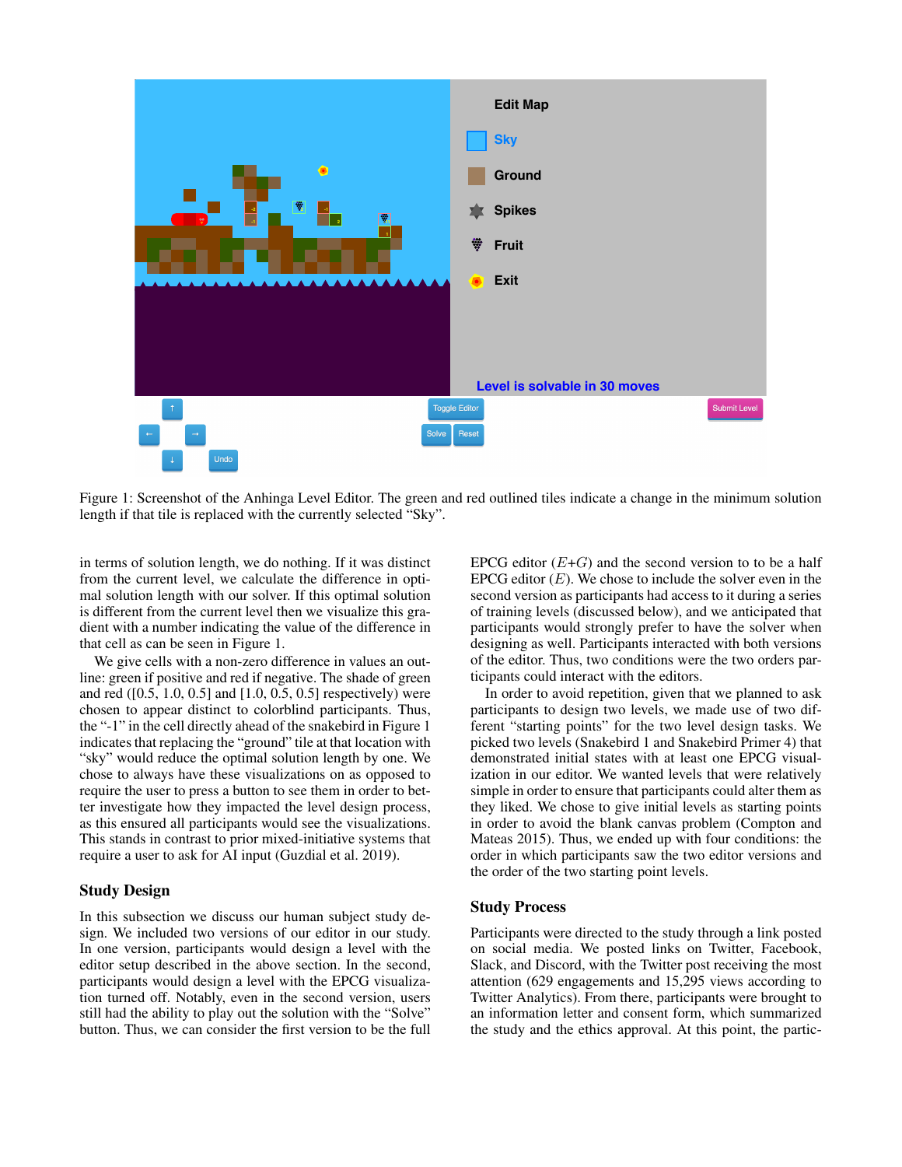

Figure 1: Screenshot of the Anhinga Level Editor. The green and red outlined tiles indicate a change in the minimum solution length if that tile is replaced with the currently selected "Sky".

in terms of solution length, we do nothing. If it was distinct from the current level, we calculate the difference in optimal solution length with our solver. If this optimal solution is different from the current level then we visualize this gradient with a number indicating the value of the difference in that cell as can be seen in Figure 1.

We give cells with a non-zero difference in values an outline: green if positive and red if negative. The shade of green and red ([0.5, 1.0, 0.5] and [1.0, 0.5, 0.5] respectively) were chosen to appear distinct to colorblind participants. Thus, the "-1" in the cell directly ahead of the snakebird in Figure 1 indicates that replacing the "ground" tile at that location with "sky" would reduce the optimal solution length by one. We chose to always have these visualizations on as opposed to require the user to press a button to see them in order to better investigate how they impacted the level design process, as this ensured all participants would see the visualizations. This stands in contrast to prior mixed-initiative systems that require a user to ask for AI input (Guzdial et al. 2019).

## Study Design

In this subsection we discuss our human subject study design. We included two versions of our editor in our study. In one version, participants would design a level with the editor setup described in the above section. In the second, participants would design a level with the EPCG visualization turned off. Notably, even in the second version, users still had the ability to play out the solution with the "Solve" button. Thus, we can consider the first version to be the full

EPCG editor  $(E+G)$  and the second version to to be a half EPCG editor  $(E)$ . We chose to include the solver even in the second version as participants had access to it during a series of training levels (discussed below), and we anticipated that participants would strongly prefer to have the solver when designing as well. Participants interacted with both versions of the editor. Thus, two conditions were the two orders participants could interact with the editors.

In order to avoid repetition, given that we planned to ask participants to design two levels, we made use of two different "starting points" for the two level design tasks. We picked two levels (Snakebird 1 and Snakebird Primer 4) that demonstrated initial states with at least one EPCG visualization in our editor. We wanted levels that were relatively simple in order to ensure that participants could alter them as they liked. We chose to give initial levels as starting points in order to avoid the blank canvas problem (Compton and Mateas 2015). Thus, we ended up with four conditions: the order in which participants saw the two editor versions and the order of the two starting point levels.

#### Study Process

Participants were directed to the study through a link posted on social media. We posted links on Twitter, Facebook, Slack, and Discord, with the Twitter post receiving the most attention (629 engagements and 15,295 views according to Twitter Analytics). From there, participants were brought to an information letter and consent form, which summarized the study and the ethics approval. At this point, the partic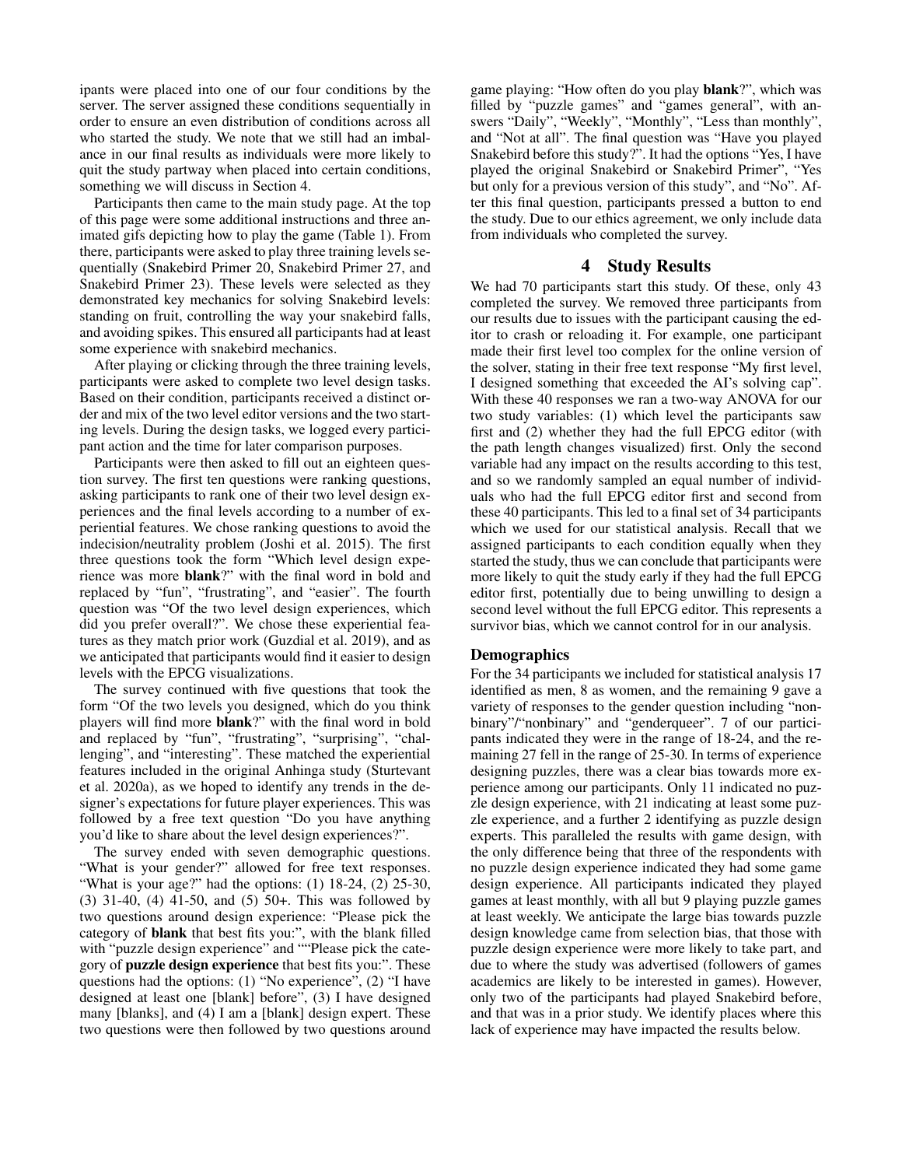ipants were placed into one of our four conditions by the server. The server assigned these conditions sequentially in order to ensure an even distribution of conditions across all who started the study. We note that we still had an imbalance in our final results as individuals were more likely to quit the study partway when placed into certain conditions, something we will discuss in Section 4.

Participants then came to the main study page. At the top of this page were some additional instructions and three animated gifs depicting how to play the game (Table 1). From there, participants were asked to play three training levels sequentially (Snakebird Primer 20, Snakebird Primer 27, and Snakebird Primer 23). These levels were selected as they demonstrated key mechanics for solving Snakebird levels: standing on fruit, controlling the way your snakebird falls, and avoiding spikes. This ensured all participants had at least some experience with snakebird mechanics.

After playing or clicking through the three training levels, participants were asked to complete two level design tasks. Based on their condition, participants received a distinct order and mix of the two level editor versions and the two starting levels. During the design tasks, we logged every participant action and the time for later comparison purposes.

Participants were then asked to fill out an eighteen question survey. The first ten questions were ranking questions, asking participants to rank one of their two level design experiences and the final levels according to a number of experiential features. We chose ranking questions to avoid the indecision/neutrality problem (Joshi et al. 2015). The first three questions took the form "Which level design experience was more blank?" with the final word in bold and replaced by "fun", "frustrating", and "easier". The fourth question was "Of the two level design experiences, which did you prefer overall?". We chose these experiential features as they match prior work (Guzdial et al. 2019), and as we anticipated that participants would find it easier to design levels with the EPCG visualizations.

The survey continued with five questions that took the form "Of the two levels you designed, which do you think players will find more blank?" with the final word in bold and replaced by "fun", "frustrating", "surprising", "challenging", and "interesting". These matched the experiential features included in the original Anhinga study (Sturtevant et al. 2020a), as we hoped to identify any trends in the designer's expectations for future player experiences. This was followed by a free text question "Do you have anything you'd like to share about the level design experiences?".

The survey ended with seven demographic questions. "What is your gender?" allowed for free text responses. "What is your age?" had the options:  $(1)$  18-24,  $(2)$  25-30, (3) 31-40, (4) 41-50, and (5) 50+. This was followed by two questions around design experience: "Please pick the category of **blank** that best fits you:", with the blank filled with "puzzle design experience" and ""Please pick the category of puzzle design experience that best fits you:". These questions had the options: (1) "No experience", (2) "I have designed at least one [blank] before", (3) I have designed many [blanks], and (4) I am a [blank] design expert. These two questions were then followed by two questions around

game playing: "How often do you play blank?", which was filled by "puzzle games" and "games general", with answers "Daily", "Weekly", "Monthly", "Less than monthly", and "Not at all". The final question was "Have you played Snakebird before this study?". It had the options "Yes, I have played the original Snakebird or Snakebird Primer", "Yes but only for a previous version of this study", and "No". After this final question, participants pressed a button to end the study. Due to our ethics agreement, we only include data from individuals who completed the survey.

## 4 Study Results

We had 70 participants start this study. Of these, only 43 completed the survey. We removed three participants from our results due to issues with the participant causing the editor to crash or reloading it. For example, one participant made their first level too complex for the online version of the solver, stating in their free text response "My first level, I designed something that exceeded the AI's solving cap". With these 40 responses we ran a two-way ANOVA for our two study variables: (1) which level the participants saw first and (2) whether they had the full EPCG editor (with the path length changes visualized) first. Only the second variable had any impact on the results according to this test, and so we randomly sampled an equal number of individuals who had the full EPCG editor first and second from these 40 participants. This led to a final set of 34 participants which we used for our statistical analysis. Recall that we assigned participants to each condition equally when they started the study, thus we can conclude that participants were more likely to quit the study early if they had the full EPCG editor first, potentially due to being unwilling to design a second level without the full EPCG editor. This represents a survivor bias, which we cannot control for in our analysis.

### Demographics

For the 34 participants we included for statistical analysis 17 identified as men, 8 as women, and the remaining 9 gave a variety of responses to the gender question including "nonbinary"/"nonbinary" and "genderqueer". 7 of our participants indicated they were in the range of 18-24, and the remaining 27 fell in the range of 25-30. In terms of experience designing puzzles, there was a clear bias towards more experience among our participants. Only 11 indicated no puzzle design experience, with 21 indicating at least some puzzle experience, and a further 2 identifying as puzzle design experts. This paralleled the results with game design, with the only difference being that three of the respondents with no puzzle design experience indicated they had some game design experience. All participants indicated they played games at least monthly, with all but 9 playing puzzle games at least weekly. We anticipate the large bias towards puzzle design knowledge came from selection bias, that those with puzzle design experience were more likely to take part, and due to where the study was advertised (followers of games academics are likely to be interested in games). However, only two of the participants had played Snakebird before, and that was in a prior study. We identify places where this lack of experience may have impacted the results below.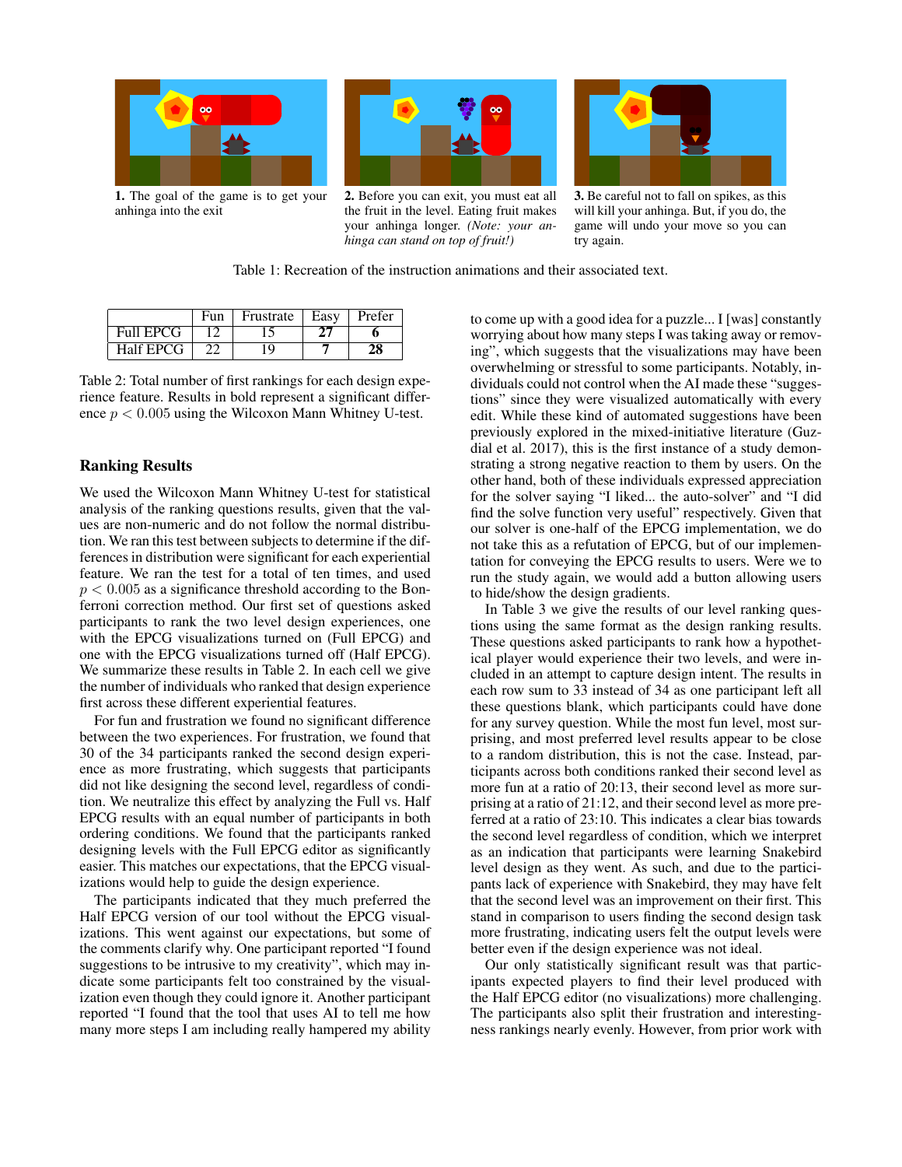

1. The goal of the game is to get your

anhinga into the exit



2. Before you can exit, you must eat all the fruit in the level. Eating fruit makes your anhinga longer. *(Note: your anhinga can stand on top of fruit!)*



3. Be careful not to fall on spikes, as this will kill your anhinga. But, if you do, the game will undo your move so you can try again.

Table 1: Recreation of the instruction animations and their associated text.

|                  | Fun | Frustrate | Easv | Prefer |
|------------------|-----|-----------|------|--------|
| <b>Full EPCG</b> |     |           |      |        |
| Half EPCG        | າາ  | 19        |      |        |

Table 2: Total number of first rankings for each design experience feature. Results in bold represent a significant difference  $p < 0.005$  using the Wilcoxon Mann Whitney U-test.

## Ranking Results

We used the Wilcoxon Mann Whitney U-test for statistical analysis of the ranking questions results, given that the values are non-numeric and do not follow the normal distribution. We ran this test between subjects to determine if the differences in distribution were significant for each experiential feature. We ran the test for a total of ten times, and used  $p < 0.005$  as a significance threshold according to the Bonferroni correction method. Our first set of questions asked participants to rank the two level design experiences, one with the EPCG visualizations turned on (Full EPCG) and one with the EPCG visualizations turned off (Half EPCG). We summarize these results in Table 2. In each cell we give the number of individuals who ranked that design experience first across these different experiential features.

For fun and frustration we found no significant difference between the two experiences. For frustration, we found that 30 of the 34 participants ranked the second design experience as more frustrating, which suggests that participants did not like designing the second level, regardless of condition. We neutralize this effect by analyzing the Full vs. Half EPCG results with an equal number of participants in both ordering conditions. We found that the participants ranked designing levels with the Full EPCG editor as significantly easier. This matches our expectations, that the EPCG visualizations would help to guide the design experience.

The participants indicated that they much preferred the Half EPCG version of our tool without the EPCG visualizations. This went against our expectations, but some of the comments clarify why. One participant reported "I found suggestions to be intrusive to my creativity", which may indicate some participants felt too constrained by the visualization even though they could ignore it. Another participant reported "I found that the tool that uses AI to tell me how many more steps I am including really hampered my ability

to come up with a good idea for a puzzle... I [was] constantly worrying about how many steps I was taking away or removing", which suggests that the visualizations may have been overwhelming or stressful to some participants. Notably, individuals could not control when the AI made these "suggestions" since they were visualized automatically with every edit. While these kind of automated suggestions have been previously explored in the mixed-initiative literature (Guzdial et al. 2017), this is the first instance of a study demonstrating a strong negative reaction to them by users. On the other hand, both of these individuals expressed appreciation for the solver saying "I liked... the auto-solver" and "I did find the solve function very useful" respectively. Given that our solver is one-half of the EPCG implementation, we do not take this as a refutation of EPCG, but of our implementation for conveying the EPCG results to users. Were we to run the study again, we would add a button allowing users to hide/show the design gradients.

In Table 3 we give the results of our level ranking questions using the same format as the design ranking results. These questions asked participants to rank how a hypothetical player would experience their two levels, and were included in an attempt to capture design intent. The results in each row sum to 33 instead of 34 as one participant left all these questions blank, which participants could have done for any survey question. While the most fun level, most surprising, and most preferred level results appear to be close to a random distribution, this is not the case. Instead, participants across both conditions ranked their second level as more fun at a ratio of 20:13, their second level as more surprising at a ratio of 21:12, and their second level as more preferred at a ratio of 23:10. This indicates a clear bias towards the second level regardless of condition, which we interpret as an indication that participants were learning Snakebird level design as they went. As such, and due to the participants lack of experience with Snakebird, they may have felt that the second level was an improvement on their first. This stand in comparison to users finding the second design task more frustrating, indicating users felt the output levels were better even if the design experience was not ideal.

Our only statistically significant result was that participants expected players to find their level produced with the Half EPCG editor (no visualizations) more challenging. The participants also split their frustration and interestingness rankings nearly evenly. However, from prior work with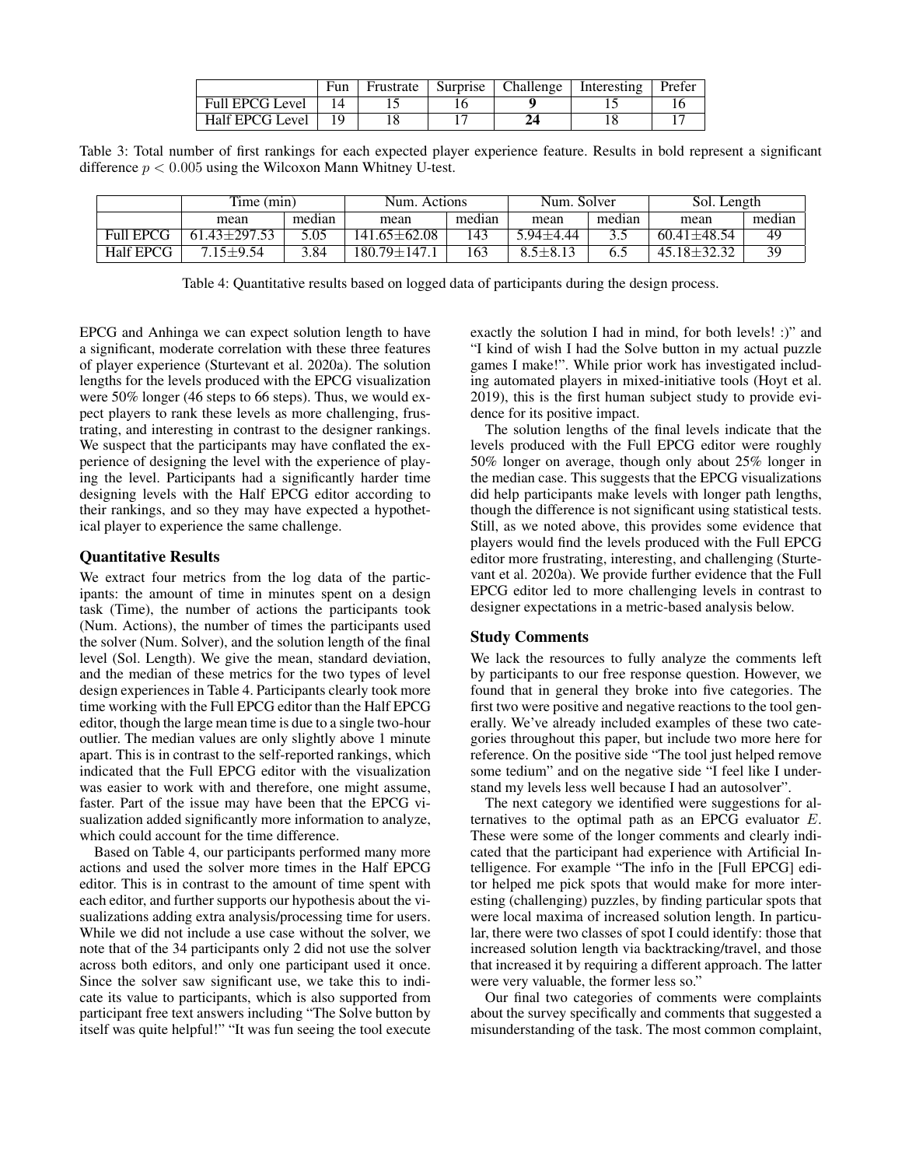|                        | Fun | Frustrate | Surprise | Challenge | Interesting | Prefer |
|------------------------|-----|-----------|----------|-----------|-------------|--------|
| <b>Full EPCG Level</b> |     |           |          |           |             |        |
| Half EPCG Level        |     |           |          |           |             |        |

Table 3: Total number of first rankings for each expected player experience feature. Results in bold represent a significant difference  $p < 0.005$  using the Wilcoxon Mann Whitney U-test.

|                  | Time (min)       |        | Num. Actions      |        | Num. Solver    |        | Sol. Length       |        |
|------------------|------------------|--------|-------------------|--------|----------------|--------|-------------------|--------|
|                  | mean             | median | mean              | median | mean           | median | mean              | median |
| <b>Full EPCG</b> | $61.43 + 297.53$ | 5.05   | 141.65±62.08      | 143    | $5.94 + 4.44$  |        | $60.41 + 48.54$   | 49     |
| <b>Half EPCG</b> | $715+954$        | 3.84   | $180.79 \pm 147.$ | 163    | $8.5 \pm 8.13$ |        | $45.18 \pm 32.32$ | 39     |

Table 4: Quantitative results based on logged data of participants during the design process.

EPCG and Anhinga we can expect solution length to have a significant, moderate correlation with these three features of player experience (Sturtevant et al. 2020a). The solution lengths for the levels produced with the EPCG visualization were 50% longer (46 steps to 66 steps). Thus, we would expect players to rank these levels as more challenging, frustrating, and interesting in contrast to the designer rankings. We suspect that the participants may have conflated the experience of designing the level with the experience of playing the level. Participants had a significantly harder time designing levels with the Half EPCG editor according to their rankings, and so they may have expected a hypothetical player to experience the same challenge.

### Quantitative Results

We extract four metrics from the log data of the participants: the amount of time in minutes spent on a design task (Time), the number of actions the participants took (Num. Actions), the number of times the participants used the solver (Num. Solver), and the solution length of the final level (Sol. Length). We give the mean, standard deviation, and the median of these metrics for the two types of level design experiences in Table 4. Participants clearly took more time working with the Full EPCG editor than the Half EPCG editor, though the large mean time is due to a single two-hour outlier. The median values are only slightly above 1 minute apart. This is in contrast to the self-reported rankings, which indicated that the Full EPCG editor with the visualization was easier to work with and therefore, one might assume, faster. Part of the issue may have been that the EPCG visualization added significantly more information to analyze, which could account for the time difference.

Based on Table 4, our participants performed many more actions and used the solver more times in the Half EPCG editor. This is in contrast to the amount of time spent with each editor, and further supports our hypothesis about the visualizations adding extra analysis/processing time for users. While we did not include a use case without the solver, we note that of the 34 participants only 2 did not use the solver across both editors, and only one participant used it once. Since the solver saw significant use, we take this to indicate its value to participants, which is also supported from participant free text answers including "The Solve button by itself was quite helpful!" "It was fun seeing the tool execute exactly the solution I had in mind, for both levels! :)" and "I kind of wish I had the Solve button in my actual puzzle games I make!". While prior work has investigated including automated players in mixed-initiative tools (Hoyt et al. 2019), this is the first human subject study to provide evidence for its positive impact.

The solution lengths of the final levels indicate that the levels produced with the Full EPCG editor were roughly 50% longer on average, though only about 25% longer in the median case. This suggests that the EPCG visualizations did help participants make levels with longer path lengths, though the difference is not significant using statistical tests. Still, as we noted above, this provides some evidence that players would find the levels produced with the Full EPCG editor more frustrating, interesting, and challenging (Sturtevant et al. 2020a). We provide further evidence that the Full EPCG editor led to more challenging levels in contrast to designer expectations in a metric-based analysis below.

### Study Comments

We lack the resources to fully analyze the comments left by participants to our free response question. However, we found that in general they broke into five categories. The first two were positive and negative reactions to the tool generally. We've already included examples of these two categories throughout this paper, but include two more here for reference. On the positive side "The tool just helped remove some tedium" and on the negative side "I feel like I understand my levels less well because I had an autosolver".

The next category we identified were suggestions for alternatives to the optimal path as an EPCG evaluator E. These were some of the longer comments and clearly indicated that the participant had experience with Artificial Intelligence. For example "The info in the [Full EPCG] editor helped me pick spots that would make for more interesting (challenging) puzzles, by finding particular spots that were local maxima of increased solution length. In particular, there were two classes of spot I could identify: those that increased solution length via backtracking/travel, and those that increased it by requiring a different approach. The latter were very valuable, the former less so."

Our final two categories of comments were complaints about the survey specifically and comments that suggested a misunderstanding of the task. The most common complaint,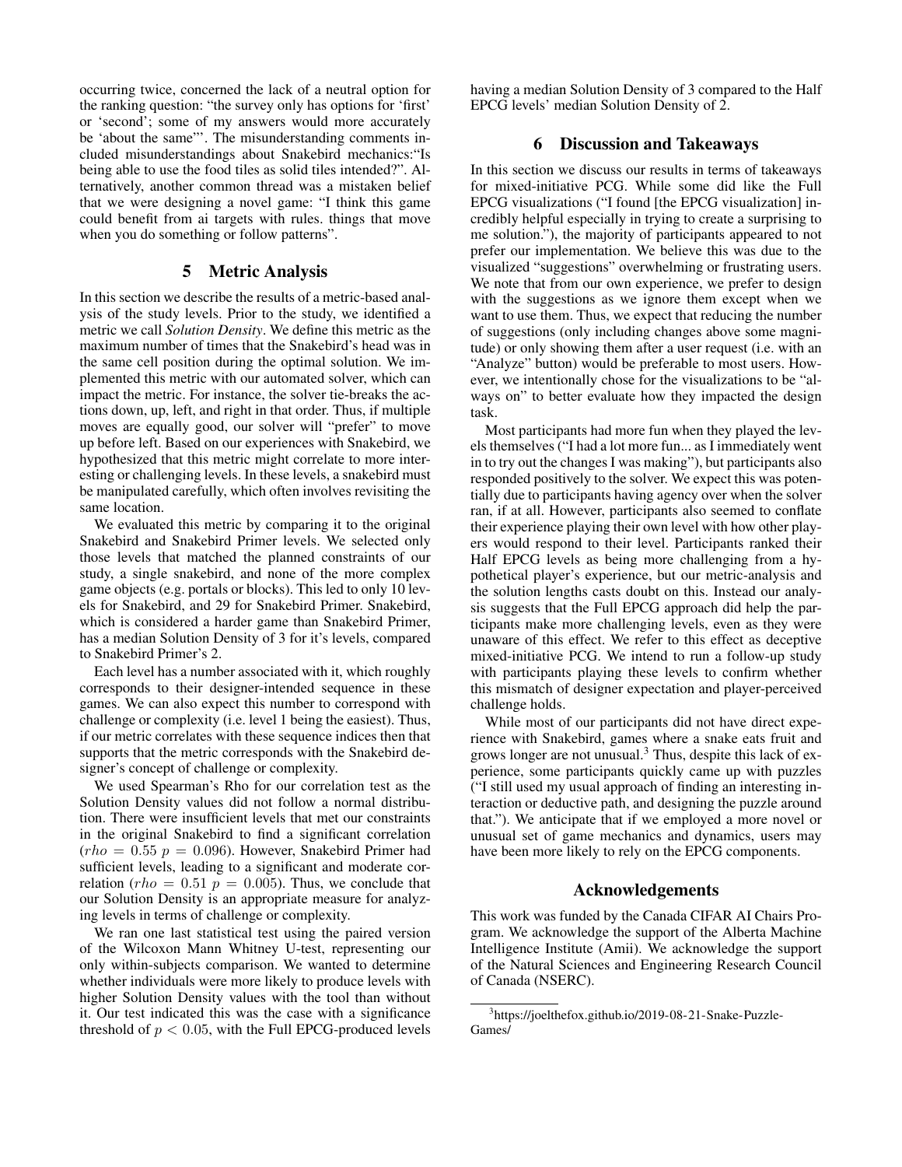occurring twice, concerned the lack of a neutral option for the ranking question: "the survey only has options for 'first' or 'second'; some of my answers would more accurately be 'about the same"'. The misunderstanding comments included misunderstandings about Snakebird mechanics:"Is being able to use the food tiles as solid tiles intended?". Alternatively, another common thread was a mistaken belief that we were designing a novel game: "I think this game could benefit from ai targets with rules. things that move when you do something or follow patterns".

## 5 Metric Analysis

In this section we describe the results of a metric-based analysis of the study levels. Prior to the study, we identified a metric we call *Solution Density*. We define this metric as the maximum number of times that the Snakebird's head was in the same cell position during the optimal solution. We implemented this metric with our automated solver, which can impact the metric. For instance, the solver tie-breaks the actions down, up, left, and right in that order. Thus, if multiple moves are equally good, our solver will "prefer" to move up before left. Based on our experiences with Snakebird, we hypothesized that this metric might correlate to more interesting or challenging levels. In these levels, a snakebird must be manipulated carefully, which often involves revisiting the same location.

We evaluated this metric by comparing it to the original Snakebird and Snakebird Primer levels. We selected only those levels that matched the planned constraints of our study, a single snakebird, and none of the more complex game objects (e.g. portals or blocks). This led to only 10 levels for Snakebird, and 29 for Snakebird Primer. Snakebird, which is considered a harder game than Snakebird Primer, has a median Solution Density of 3 for it's levels, compared to Snakebird Primer's 2.

Each level has a number associated with it, which roughly corresponds to their designer-intended sequence in these games. We can also expect this number to correspond with challenge or complexity (i.e. level 1 being the easiest). Thus, if our metric correlates with these sequence indices then that supports that the metric corresponds with the Snakebird designer's concept of challenge or complexity.

We used Spearman's Rho for our correlation test as the Solution Density values did not follow a normal distribution. There were insufficient levels that met our constraints in the original Snakebird to find a significant correlation  $(rho = 0.55 p = 0.096)$ . However, Snakebird Primer had sufficient levels, leading to a significant and moderate correlation (rho =  $0.51 p = 0.005$ ). Thus, we conclude that our Solution Density is an appropriate measure for analyzing levels in terms of challenge or complexity.

We ran one last statistical test using the paired version of the Wilcoxon Mann Whitney U-test, representing our only within-subjects comparison. We wanted to determine whether individuals were more likely to produce levels with higher Solution Density values with the tool than without it. Our test indicated this was the case with a significance threshold of  $p < 0.05$ , with the Full EPCG-produced levels having a median Solution Density of 3 compared to the Half EPCG levels' median Solution Density of 2.

### 6 Discussion and Takeaways

In this section we discuss our results in terms of takeaways for mixed-initiative PCG. While some did like the Full EPCG visualizations ("I found [the EPCG visualization] incredibly helpful especially in trying to create a surprising to me solution."), the majority of participants appeared to not prefer our implementation. We believe this was due to the visualized "suggestions" overwhelming or frustrating users. We note that from our own experience, we prefer to design with the suggestions as we ignore them except when we want to use them. Thus, we expect that reducing the number of suggestions (only including changes above some magnitude) or only showing them after a user request (i.e. with an "Analyze" button) would be preferable to most users. However, we intentionally chose for the visualizations to be "always on" to better evaluate how they impacted the design task.

Most participants had more fun when they played the levels themselves ("I had a lot more fun... as I immediately went in to try out the changes I was making"), but participants also responded positively to the solver. We expect this was potentially due to participants having agency over when the solver ran, if at all. However, participants also seemed to conflate their experience playing their own level with how other players would respond to their level. Participants ranked their Half EPCG levels as being more challenging from a hypothetical player's experience, but our metric-analysis and the solution lengths casts doubt on this. Instead our analysis suggests that the Full EPCG approach did help the participants make more challenging levels, even as they were unaware of this effect. We refer to this effect as deceptive mixed-initiative PCG. We intend to run a follow-up study with participants playing these levels to confirm whether this mismatch of designer expectation and player-perceived challenge holds.

While most of our participants did not have direct experience with Snakebird, games where a snake eats fruit and grows longer are not unusual.<sup>3</sup> Thus, despite this lack of experience, some participants quickly came up with puzzles ("I still used my usual approach of finding an interesting interaction or deductive path, and designing the puzzle around that."). We anticipate that if we employed a more novel or unusual set of game mechanics and dynamics, users may have been more likely to rely on the EPCG components.

#### Acknowledgements

This work was funded by the Canada CIFAR AI Chairs Program. We acknowledge the support of the Alberta Machine Intelligence Institute (Amii). We acknowledge the support of the Natural Sciences and Engineering Research Council of Canada (NSERC).

<sup>3</sup> https://joelthefox.github.io/2019-08-21-Snake-Puzzle-Games/